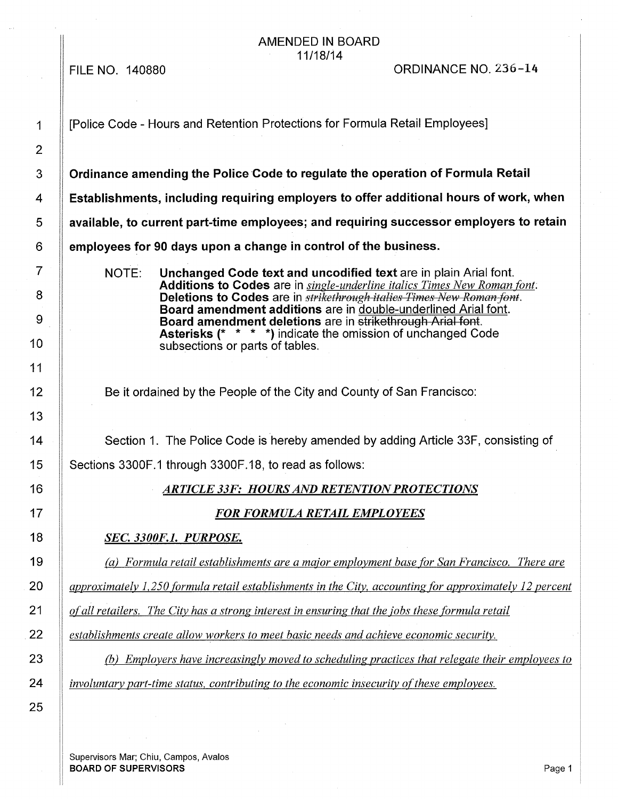FILE NO. 140880

#### AMENDED IN BOARD 11/18/14

ORDINANCE NO. 236-14

3 **Commande 1** Ordinance amending the Police Code to regulate the operation of Formula Retail 4 **Establishments, including requiring employers to offer additional hours of work, when**  5 **available, to current part-time employees; and requiring successor employers to retain**  6 **employees for 90 days upon a change in control of the business.**  NOTE: **Unchanged Code text and uncodified text** are in plain Arial font. **Additions to Codes** are in *single-underline italics Times New Roman font:*  **Deletions to Codes** are in *strikethrough italies Times New Roman font.* **Board amendment additions** are in double-underlined Arial font. **Board amendment deletions** are in strikethrough Arial font. **Asterisks** (\* \* \* \*) indicate the omission of unchanged Code subsections or parts of tables. Be it ordained by the People of the City and County of San Francisco: 14 | Section 1. The Police Code is hereby amended by adding Article 33F, consisting of 15 Sections 3300F.1 through 3300F.18, to read as follows: 16 *ARTICLE 33F: HOURS AND RETENTION PROTECTIONS*  17 *FOR FORMULA RETAIL EMPLOYEES*  18 *SEC. 3300F.l. PURPOSE.*  19 *(a) Formula retail establishments are a major employment base for San Francisco. There are*  20 *approximately 1,250 formula retail establishments in the City, accounting for approximately 12 percent*  21 *of all retailers. The City has a strong interest in ensuring that the jobs these formula retail*  22 *establishments create allow workers to meet basic needs and achieve economic security.*  23 *(b) Employers have increasingly moved to scheduling practices that relegate their employees to*  24 *involuntary part-time status, contributing to the economic insecurity of these employees.* 

Supervisors Mar; Chiu, Campos, Avalos **BOARD OF SUPERVISORS** Page 1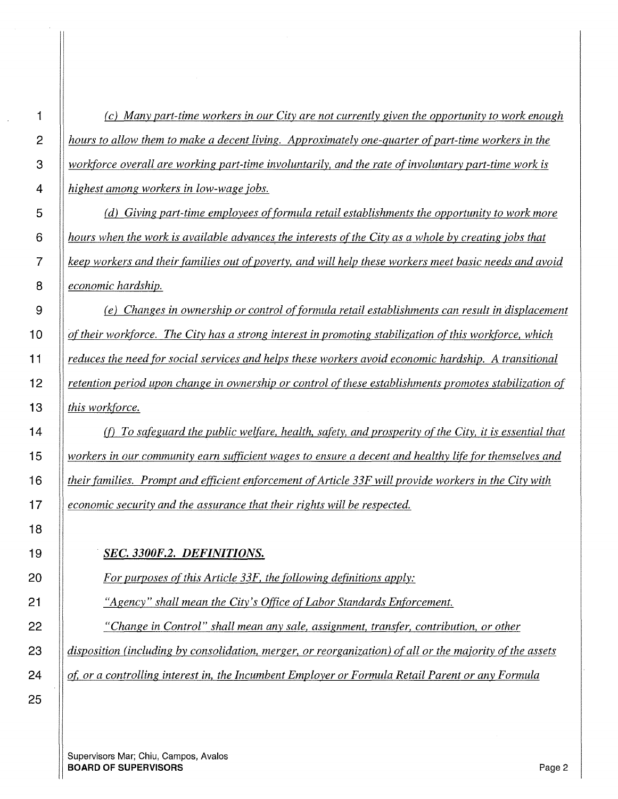*(c) Many part-time workers in our City are not currently given the opportunity to work enough let nours to allow them to make a decent living. Approximately one-quarter of part-time workers in the workforce overall are working part-time involuntarily, and the rate of involuntary part-time work is highest among workers in low-wage jobs.* 

 *(d) Giving part-time employees of formula retail establishments the opportunity to work more hours when the work is available advances the interests of the City as a whole by creating ;obs that keep workers and their families out of poverty, and will help these workers meet basic needs and avoid economic hardship.* 

*(e) Changes in ownership or control of formula retail establishments can result in displacement of their workforce. The City has a strong interest in promoting stabilization of this workforce, which reduces the need for social services and helps these workers avoid economic hardship. A transitional retention period upon change in ownership or control of these establishments promotes stabilization of this workforce.* 

*(f) To safeguard the public welfare, health, safety, and prosperity of the City, it is essential that workers in our community earn sufficient wages to ensure a decent and healthy life for themselves and their families. Prompt and efficient enforcement of Article 33F will provide workers in the City with economic security and the assurance that their rights will be respected.* 

*SEC. 3300F.2. DEFINITIONS.* 

*For purposes of this Article 33F, the following definitions apply:* 

*"Agency" shall mean the City's Office of Labor Standards Enforcement.* 

*"Change in Control" shall mean any sale, assignment, transfer, contribution, or other* 

*disposition (including by consolidation, merger, or reorganization) of all or the majority of the assets* 

*ot or a controlling interest in, the Incumbent Employer or Formula Retail Parent or any Formula*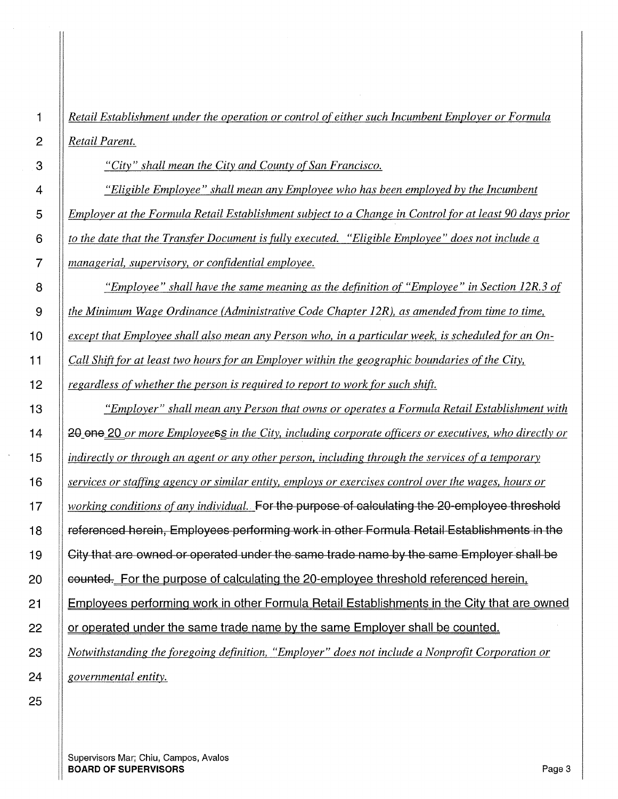*Retail Establishment under the operation or control of either such Incumbent Employer or Formula Retail Parent.* 

*"City" shall mean the City and County of San Francisco.* 

*"Eligible Employee" shall mean any Employee who has been employed by the Incumbent Employer at the Formula Retail Establishment subject to a Change in Control for at least 90 days prior to the date that the Transfer Document is fully executed. "Eligible Employee" does not include a managerial, supervisory, or confidential employee.* 

*"Employee" shall have the same meaning as the definition of "Employee" in Section 12R.3 of the Minimum Wage Ordinance (Administrative Code Chapter 12R), as amended from time to time, except that Employee shall also mean any Person who, in a particular week, is scheduled for an On-Call Shift for at least two hours for an Employer within the geographic boundaries of the City, regardless of whether the person is required to report to work for such shift.* 

*"Employer" shall mean any Person that owns or operates a Formula Retail Establishment with*   $\parallel$  20 one 20 *or more Employeess in the City, including corporate officers or executives, who directly or indirectly or through an agent or any other person, including through the services of a temporary services or staffing agency or similar entity, employs or exercises control over the wages, hours or working conditions of any individual ..* For the purpose of calculating the 20 employee threshold **If referenced herein, Employees performing work in other Formula Retail Establishments in the**  $\parallel$  City that are owned or operated under the same trade name by the same Employer shall be **counted.** For the purpose of calculating the 20-employee threshold referenced herein. 21 Employees performing work in other Formula Retail Establishments in the City that are owned 22 | or operated under the same trade name by the same Employer shall be counted. *Notwithstanding the foregoing definition, "Employer" does not include a Nonprofit Corporation or governmental entity.*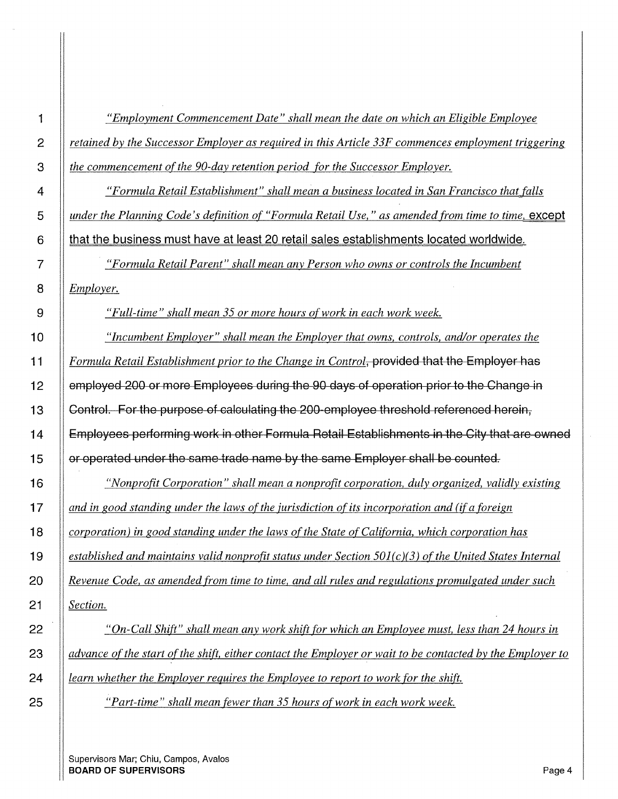*"Employment Commencement Date" shall mean the date on which an Eligible Employee retained by the Successor Employer as required in this Article 33F commences employment triggering the commencement of the 90-day retention period for the Successor Employer.* 

*We are The Theorem in a Formula Retail Establishment" shall mean a business located in San Francisco that falls under the Planning Code's definition of "Formula Retail Use," as amended from time to time, except* **that the business must have at least 20 retail sales establishments located worldwide.** 

*"Formula Retail Parent" shall mean any Person who owns or controls the Incumbent Employer.* 

*"Full-time" shall mean 35 or more hours of work in each work week.* 

*"Incumbent Employer" shall mean the Employer that owns, controls, and/or operates the Formula Retail Establishment prior to the Change in Control,* provided that the Employer has 12 | employed 200 or more Employees during the 90 days of operation prior to the Change in 13 | Control. For the purpose of calculating the 200-employee threshold referenced herein, 14 | Employees performing work in other Formula Retail Establishments in the City that are owned 15 | or operated under the same trade name by the same Employer shall be counted.

*"Nonprofit Corporation" shall mean a nonprofit corporation, duly organized, validly existing and in good standing under the laws of the jurisdiction of its incorporation and (if a foreign***)** *corporation) in good standing under the laws of the State of California, which corporation has established and maintains valid nonprofit status under Section 501 (c)(3) of the United States Internal Revenue Code, as amended from time to time, and all rules and regulations promulgated under such Section.* 

*"On-Call Shift" shall mean any work shift for which an Employee must, less than 24 hours in advance of the start of the shift. either contact the Employer or wait to be contacted by the Employer to learn whether the Employer requires the Employee to report to work for the shift.* 

*"Part-time" shall mean fewer than 35 hours of work in each work week.*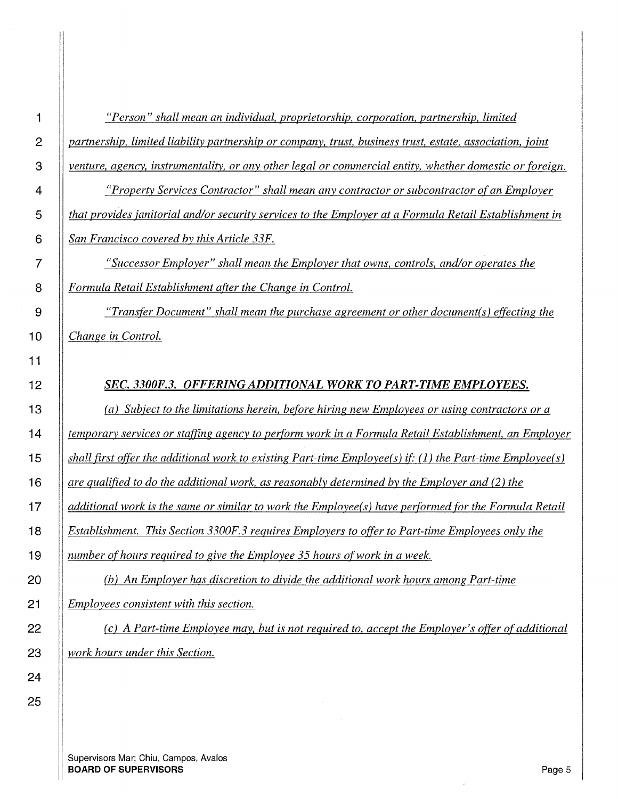*"Person" shall mean an individual, proprietorship, corporation, partnership, limited partnership, limited liability partnership or company, trust, business trust, estate, association, joint venture, agency, instrumentality, or any other legal or commercial entity, whether domestic or foreign.* 

*"Property Services Contractor" shall mean any contractor or subcontractor of an Employer that provides janitorial and/or security services to the Employer at a Formula Retail Establishment in San Francisco covered by this Article 33F.* 

*"Successor Employer" shall mean the Employer that owns, controls, and/or operates the Formula Retail Establishment after the Change in Control.* 

*"Transfer Document" shall mean the purchase agreement or other document(s) effecting the Change in Control.* 

## *SEC. 3300F.3. OFFERING ADDITIONAL WORK TO PART-TIME EMPLOYEES.*

*(a) Subject to the limitations herein, before hiring new Employees or using contractors or a temporary services or staffing agency to perform work in a Formula Retail Establishment, an Employer shall first offer the additional work to existing Part-time Employee(s) if'* (1) *the Part-time Employee(s) are qualified to do the additional work, as reasonably determined by the Employer and (2) the additional work is the same or similar to work the Employee(s) have performed for the Formula Retail Establishment. This Section 3300F.3 requires Employers to offer to Part-time Employees only the number of hours required to give the Employee 35 hours of work in a week.* 

*(b) An Employer has discretion to divide the additional work hours among Part-time Employees consistent with this section.* 

*(c) A Part-time Employee may, but is not required to, accept the Employer's offer of additional work hours under this Section.*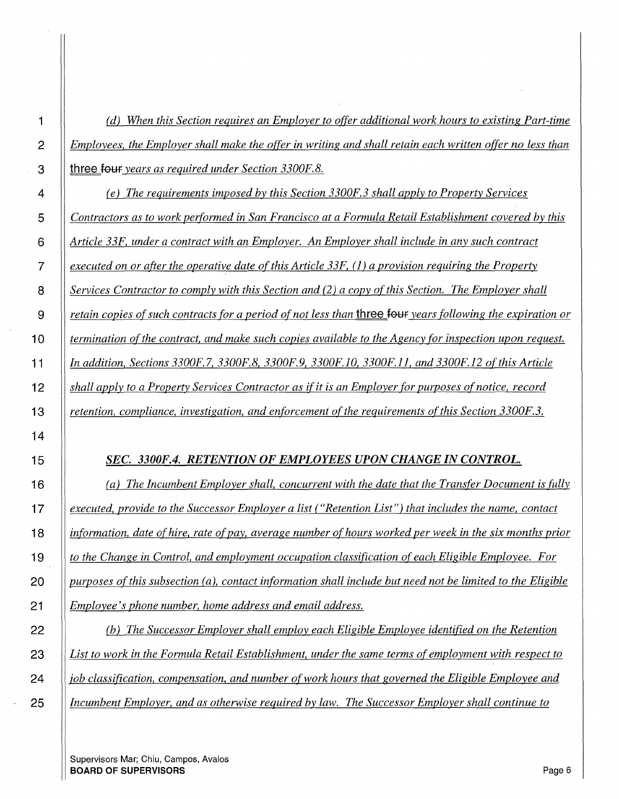*(d) When this Section requires an Employer to offer additional work hours to existing Part-time Employees, the Employer shall make the offer in writing and shall retain each written offer no less than*  **i** three **four** *years as required under Section 3300F.8.* 

*(e) The requirements imposed by this Section 3300F.3 shall apply to Property Services Contractors as to work performed in San Francisco at a Formula Retail Establishment covered by this Article 33F, under a contract with an Employer. An Employer shall include in any such contract executed on or after the operative date of this Article 33F,* (1) *a provision requiring the Property Services Contractor to comply with this Section and (2) a copy of this Section. The Employer shall retain copies of such contracts for a period of not less than* three **four** *years following the expiration or* **1 O** *termination of the contract, and make such copies available to the Agency for inspection upon request. In addition, Sections 3300F.7, 3300F.8, 3300F.9, 3300F.10, 3300F.ll, and 3300F.12 of this Article shall apply to a Property Services Contractor as ifit is an Employer for purposes of notice, record retention, compliance, investigation, and enforcement of the requirements of this Section 3300F.3.* 

## *SEC. 3300F.4. RETENTION OF EMPLOYEES UPON CHANGE IN CONTROL.*

*(a) The Incumbent Employer shall, concurrent with the date that the Transfer Document is fully executed, provide to the Successor Employer a list ("Retention List") that includes the name, contact linformation, date of hire, rate of pay, average number of hours worked per week in the six months prior to the Change in Control, and employment occupation classification of each Eligible Employee. For purposes of this subsection (a), contact information shall include but need not be limited to the Eligible Employee's phone number, home address and email address.* 

*(b) The Successor Employer shall employ each Eligible Employee identified on the Retention List to work in the Formula Retail Establishment, under the same terms of employment with respect to job classification, compensation, and number of work hours that governed the Eligible Employee and Incumbent Employer, and as otherwise required by law. The Successor Employer shall continue to*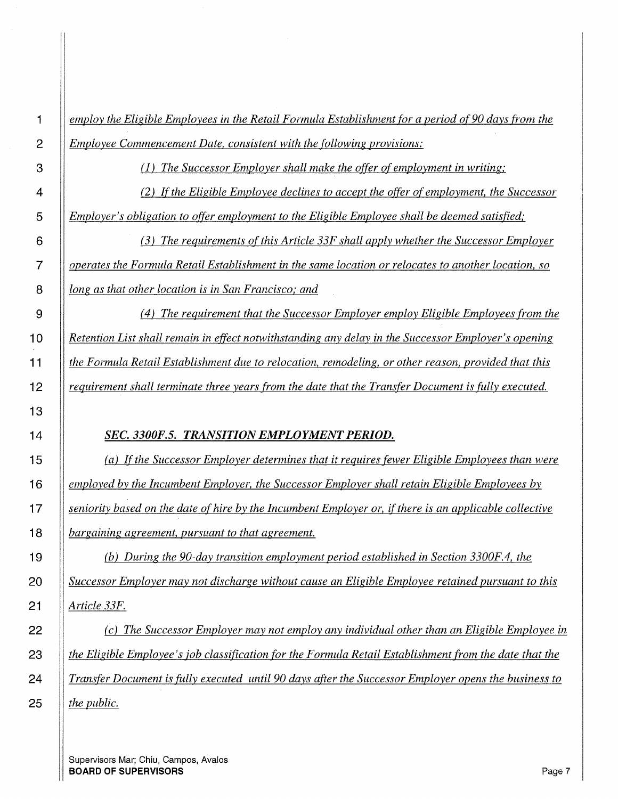*employ the Eligible Employees in the Retail Formula Establishment for a period of90 days from the Employee Commencement Date, consistent with the following provisions:* 

(1) *The Successor Employer shall make the offer of employment in writing;* 

*(2) If the Eligible Employee declines to accept the offer of employment, the Successor Employer's obligation to offer employment to the Eligible Employee shall be deemed satisfied;* 

*(3) The requirements of this Article 33F shall apply whether the Successor Employer operates the Formula Retail Establishment in the same location or relocates to another location, so long as that other location is in San Francisco; and* 

*( 4) The requirement that the Successor Employer employ Eligible Employees from the Retention List shall remain in effect notwithstanding any delay in the Successor Employer's opening the Formula Retail Establishment due to relocation, remodeling, or other reason, provided that this requirement shall terminate three years from the date that the Transfer Document is fully executed.* 

## *SEC. 3300F.5. TRANSITION EMPLOYMENT PERIOD.*

*(a) If the Successor Employer determines that it requires fewer Eligible Employees than were employed by the Incumbent Employer, the Successor Employer shall retain Eligible Employees by seniority based on the date of hire by the Incumbent Employer or, ifthere is an applicable collective*  **1 8** *bargaining agreement, pursuant to that agreement.* 

*(b) During the 90-day transition employment period established in Section 3300F.4, the Successor Employer may not discharge without cause an Eligible Employee retained pursuant to this Article 33F.* 

*(c) The Successor Employer may not employ any individual other than an Eligible Employee in the Eligible Employee's job classification for the Formula Retail Establishment from the date that the Transfer Document is fully executed until 90 days after the Successor Employer opens the business to the public.*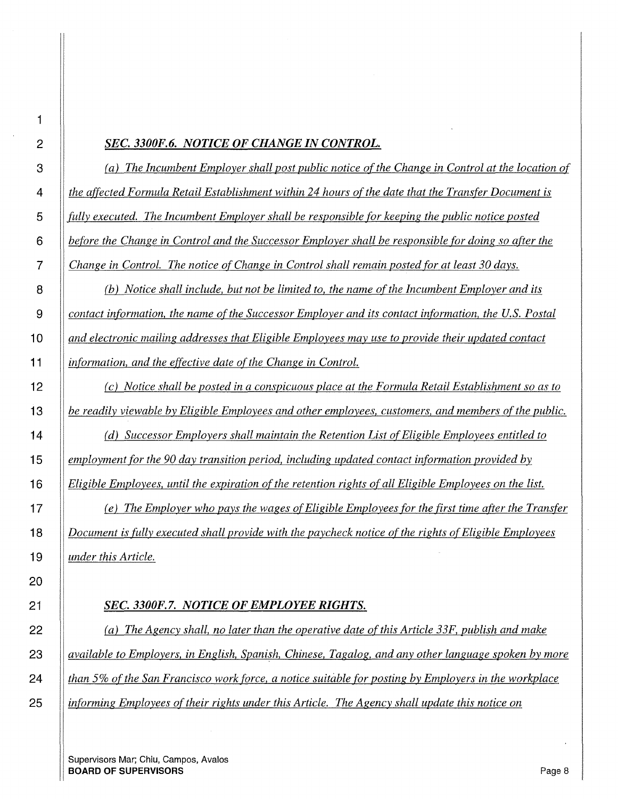#### *SEC. 3300F.6. NOTICE OF CHANGE IN CONTROL.*

*(a) The Incumbent Employer shall post public notice of the Change in Control at the location of the affected Formula Retail Establishment within 24 hours of the date that the Transfer Document is fully executed. The Incumbent Employer shall be responsible for keeping the public notice posted before the Change in Control and the Successor Employer shall be responsible for doing so after the Change in Control. The notice of Change in Control shall remain posted for at least 30 days.* 

*(b) Notice shall include, but not be limited to, the name of the Incumbent Employer and its contact information, the name of the Successor Employer and its contact information, the U.S. Postal and electronic mailing addresses that Eligible Employees may use to provide their updated contact information, and the effective date of the Change in Control.* 

*(c) Notice shall be posted in a conspicuous place at the Formula Retail Establishment so as to be readily viewable by Eligible Employees and other employees, customers, and members ofthe public.* 

*(d) Successor Employers shall maintain the Retention List of Eligible Employees entitled to employment for the 90 day transition period, including updated contact information provided by Eligible Employees, until the expiration of the retention rights of all Eligible Employees on the list.* 

*(e) The Employer who pays the wages of Eligible Employees for the first time after the Transfer Document is fully executed shall provide with the paycheck notice of the rights of Eligible Employees under this Article.* 

## *SEC. 3300F.7. NOTICE OF EMPLOYEE RIGHTS.*

*(a) The Agency shall, no later than the operative date of this Article 33F, publish and make available to Employers, in English, Spanish, Chinese, Tagalog, and any other language spoken by more than 5% of the San Francisco work force, a notice suitable for posting by Employers in the workplace informing Employees of their rights under this Article. The Agency shall update this notice on*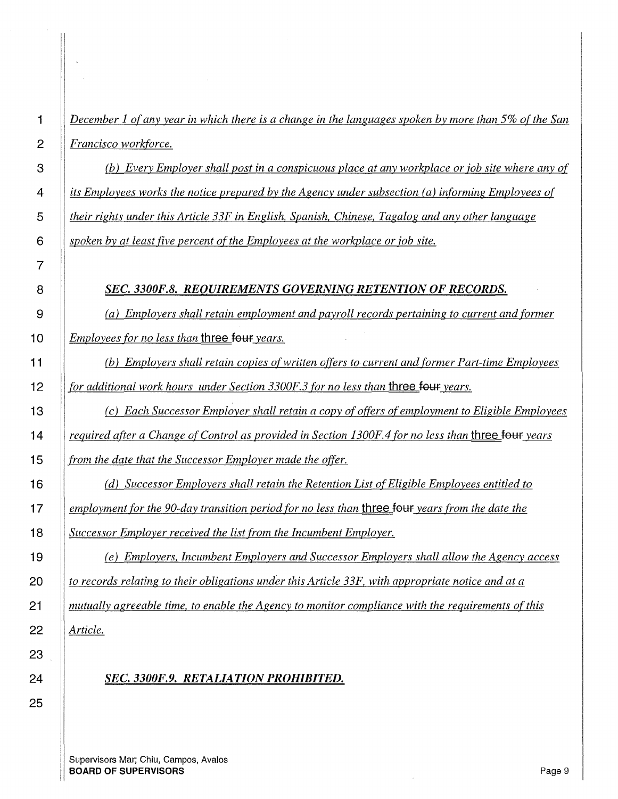*December 1 of any year in which there is a change in the languages spoken by more than 5% of the San Francisco workforce.* 

*(b) Every Employer shall post in a conspicuous place at any workplace or job site where any of its Employees works the notice prepared by the Agency under subsection (a) informing Employees of their rights under this Article 33F in English, Spanish, Chinese, Tagalog and any other language spoken by at least five percent of the Employees at the workplace or job site.* 

#### *SEC. 3300F.8. REQUIREMENTS GOVERNING RETENTION OF RECORDS.*

*(a) Employers shall retain employment and payroll records pertaining to current and former*  **10** *Employees for no less than* **three <del>four</del>** *years.* 

*(b) Employers shall retain copies of written offers to current and former Part-time Employees for additional work hours under Section 3300F.3 for no less than three four years.* 

*(c) Each Successor Employer shall retain a copy of offers of employment to Eligible Employees equired after a Change of Control as provided in Section 1300F.4 for no less than three four years from the date that the Successor Employer made the offer.* 

*(d) Successor Employers shall retain the Retention List of Eligible Employees entitled to lemployment for the 90-day transition period for no less than three four years from the date the Successor Employer received the list from the Incumbent Employer.* 

*(e) Employers, Incumbent Employers and Successor Employers shall allow the Agency access to records relating to their obligations under this Article 33F, with appropriate notice and at a mutually agreeable time, to enable the Agency to monitor compliance with the requirements of this Article.* 

## *SEC. 3300F.9. RETALIATION PROHIBITED.*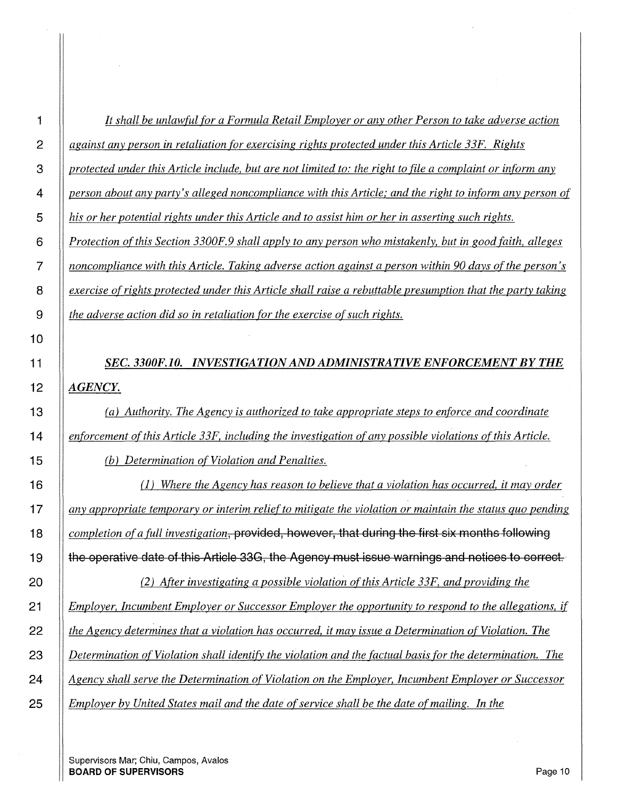| $\overline{2}$ | against any person in retaliation for exercising rights protected under this Article 33F. Rights           |
|----------------|------------------------------------------------------------------------------------------------------------|
| 3              | protected under this Article include, but are not limited to: the right to file a complaint or inform any  |
| 4              | person about any party's alleged noncompliance with this Article; and the right to inform any person of    |
| 5              | his or her potential rights under this Article and to assist him or her in asserting such rights.          |
| 6              | Protection of this Section 3300F.9 shall apply to any person who mistakenly, but in good faith, alleges    |
| $\overline{7}$ | noncompliance with this Article. Taking adverse action against a person within 90 days of the person's     |
| 8              | exercise of rights protected under this Article shall raise a rebuttable presumption that the party taking |
| $9\,$          | the adverse action did so in retaliation for the exercise of such rights.                                  |
| 10             |                                                                                                            |
| 11             | SEC. 3300F.10. INVESTIGATION AND ADMINISTRATIVE ENFORCEMENT BY THE                                         |
| 12             | <b>AGENCY.</b>                                                                                             |
| 13             | (a) Authority. The Agency is authorized to take appropriate steps to enforce and coordinate                |
| 14             | enforcement of this Article 33F, including the investigation of any possible violations of this Article.   |
| 15             | (b) Determination of Violation and Penalties.                                                              |
| 16             | Where the Agency has reason to believe that a violation has occurred, it may order<br>(I)                  |
| 17             | any appropriate temporary or interim relief to mitigate the violation or maintain the status quo pending   |
| 18             | completion of a full investigation, provided, however, that during the first six months following          |
| 19             | the operative date of this Article 33G, the Agency must issue warnings and notices to correct.             |
| 20             | (2) After investigating a possible violation of this Article 33F, and providing the                        |
| 21             | Employer, Incumbent Employer or Successor Employer the opportunity to respond to the allegations, if       |
| 22             | the Agency determines that a violation has occurred, it may issue a Determination of Violation. The        |
| 23             | Determination of Violation shall identify the violation and the factual basis for the determination. The   |
| 24             | Agency shall serve the Determination of Violation on the Employer, Incumbent Employer or Successor         |
| 25             | Employer by United States mail and the date of service shall be the date of mailing. In the                |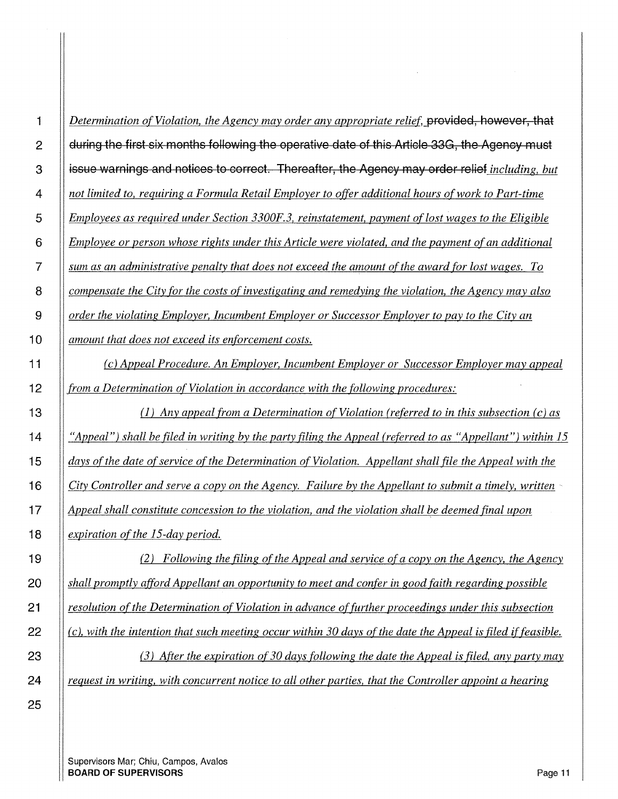*(c) Appeal Procedure. An Employer, Incumbent Employer or Successor Employer may appeal from a Determination of Violation in accordance with the following procedures:* 

13 (1) *Any appeal from a Determination of Violation (referred to in this subsection (c) as "Appeal") shall be filed in writing by the party filing the Appeal (referred to as "Appellant") within 15 days of the date of service of the Determination of Violation. Appellant shall file the Appeal with the City Controller and serve a copy on the Agency. Failure by the Appellant to submit a timely, written* ·· *Appeal shall constitute concession to the violation, and the violation shall be deemed final upon expiration of the 15-day period.* 

*(2) Following the filing of the Appeal and service ofa copy on the Agency, the Agency shall promptly afford Appellant an opportunity to meet and confer in good faith regarding possible resolution of the Determination of Violation in advance of further proceedings under this subsection (c), with the intention that such meeting occur within 30 days of the date the Appeal is filed if feasible.* 

**(3)** After the expiration of 30 days following the date the Appeal is filed, any party may *request in writing, with concurrent notice to all other parties, that the Controller appoint a hearing*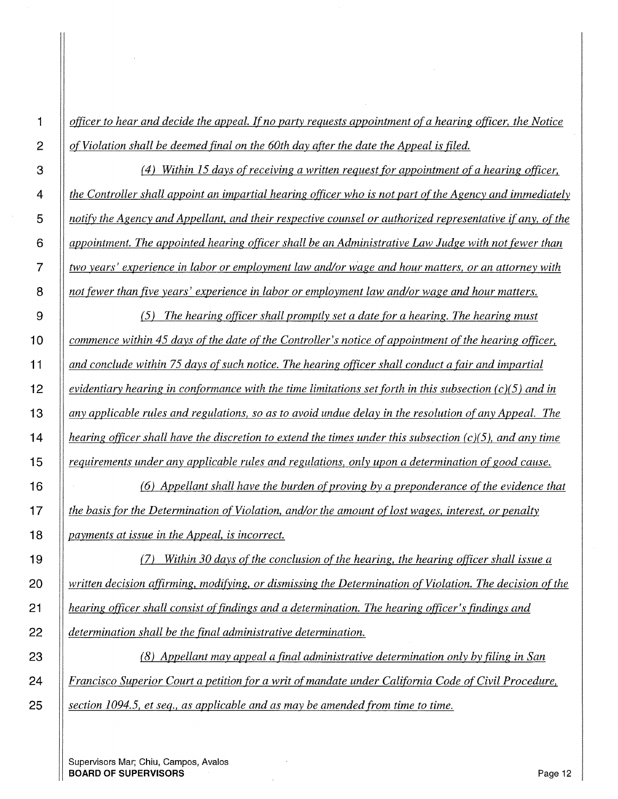*officer to hear and decide the appeal. If no party requests appointment of a hearing officer, the Notice of Violation shall be deemed final on the 60th day after the date the Appeal is filed.* 

*(4) Within 15 days of receiving a written request for appointment of a hearing officer, the Controller shall appoint an impartial hearing officer who is not part ofthe Agency and immediately notify the Agency and Appellant, and their respective counsel or authorized representative if any, ofthe appointment. The appointed hearing officer shall be an Administrative Law Judge with not fewer than two years' experience in labor or employment law and/or wage and hour matters, or an attorney with not fewer than five years' experience in labor or employment law and/or wage and hour matters.* 

*(5) The hearing officer shall promptly set a date for a hearing. The hearing must commence within 45 days of the date of the Controller's notice of appointment of the hearing officer, and conclude within 75 days of such notice. The hearing officer shall conduct a fair and impartial evidentiary hearing in conformance with the time limitations set forth in this subsection (c)(5) and in any applicable rules and regulations, so as to avoid undue delay in the resolution of any Appeal. The hearing officer shall have the discretion to extend the times under this subsection (c )(5 ), and any time requirements under any applicable rules and regulations, only upon a determination of good cause.* 

*(6) Appellant shall have the burden of proving by a preponderance of the evidence that let the basis for the Determination of Violation, and/or the amount of lost wages, interest, or penalty let in the basis for the Determination of Violation, and/or the amount of lost wages, interest, or penalty payments at issue in the Appeal,* is *incorrect.* 

*(7) Within 30 days of the conclusion of the hearing, the hearing officer shall issue a written decision affirming, modifying, or dismissing the Determination of Violation. The decision of the hearing officer shall consist of findings and a determination. The hearing officer's findings and determination shall be the final administrative determination.* 

*(8) Appellant may appeal a final administrative determination only by filing in San Francisco Superior Court a petition for a writ of mandate under California Code of Civil Procedure, section 1094.5, et seq., as applicable and as may be amended from time to time.*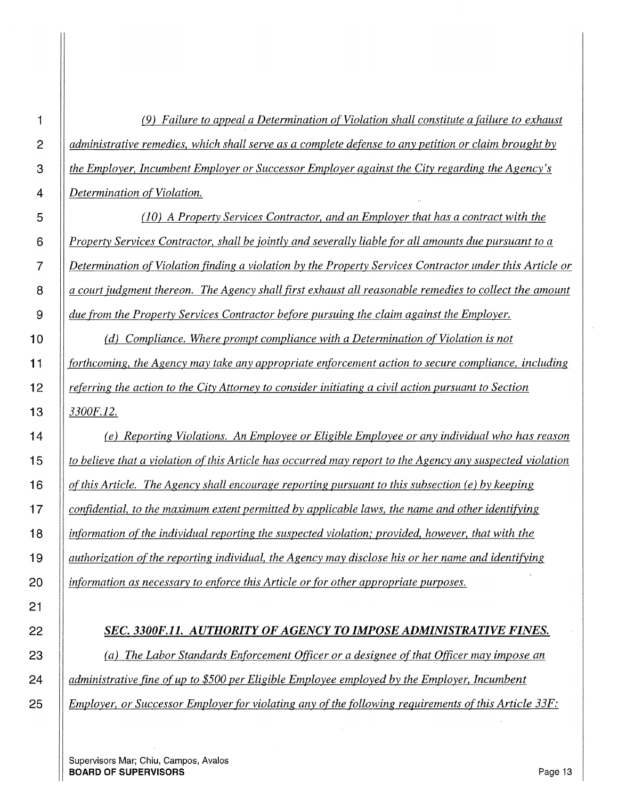| 1              | (9) Failure to appeal a Determination of Violation shall constitute a failure to exhaust                  |
|----------------|-----------------------------------------------------------------------------------------------------------|
| $\overline{c}$ | administrative remedies, which shall serve as a complete defense to any petition or claim brought by      |
| 3              | the Employer, Incumbent Employer or Successor Employer against the City regarding the Agency's            |
| 4              | Determination of Violation.                                                                               |
| 5              | (10) A Property Services Contractor, and an Employer that has a contract with the                         |
| 6              | Property Services Contractor, shall be jointly and severally liable for all amounts due pursuant to a     |
| $\overline{7}$ | Determination of Violation finding a violation by the Property Services Contractor under this Article or  |
| 8              | a court judgment thereon. The Agency shall first exhaust all reasonable remedies to collect the amount    |
| 9              | due from the Property Services Contractor before pursuing the claim against the Employer.                 |
| 10             | Compliance. Where prompt compliance with a Determination of Violation is not<br>(d)                       |
| 11             | forthcoming, the Agency may take any appropriate enforcement action to secure compliance, including       |
| 12             | referring the action to the City Attorney to consider initiating a civil action pursuant to Section       |
| 13             | 3300F.12.                                                                                                 |
| 14             | (e) Reporting Violations. An Employee or Eligible Employee or any individual who has reason               |
| 15             | to believe that a violation of this Article has occurred may report to the Agency any suspected violation |
| 16             | of this Article. The Agency shall encourage reporting pursuant to this subsection (e) by keeping          |
| 17             | confidential, to the maximum extent permitted by applicable laws, the name and other identifying          |
| 18             | information of the individual reporting the suspected violation; provided, however, that with the         |
| 19             | authorization of the reporting individual, the Agency may disclose his or her name and identifying        |
| 20             | information as necessary to enforce this Article or for other appropriate purposes.                       |
| 21             |                                                                                                           |
| 22             | SEC. 3300F.11. AUTHORITY OF AGENCY TO IMPOSE ADMINISTRATIVE FINES.                                        |
| 23             | (a) The Labor Standards Enforcement Officer or a designee of that Officer may impose an                   |
| 24             | administrative fine of up to \$500 per Eligible Employee employed by the Employer, Incumbent              |

*Employer, or Successor Employer for violating any of the following requirements of this Article 33F:* 

Supervisors Mar; Chiu, Campos, Avalos **BOARD OF SUPERVISORS Page 13**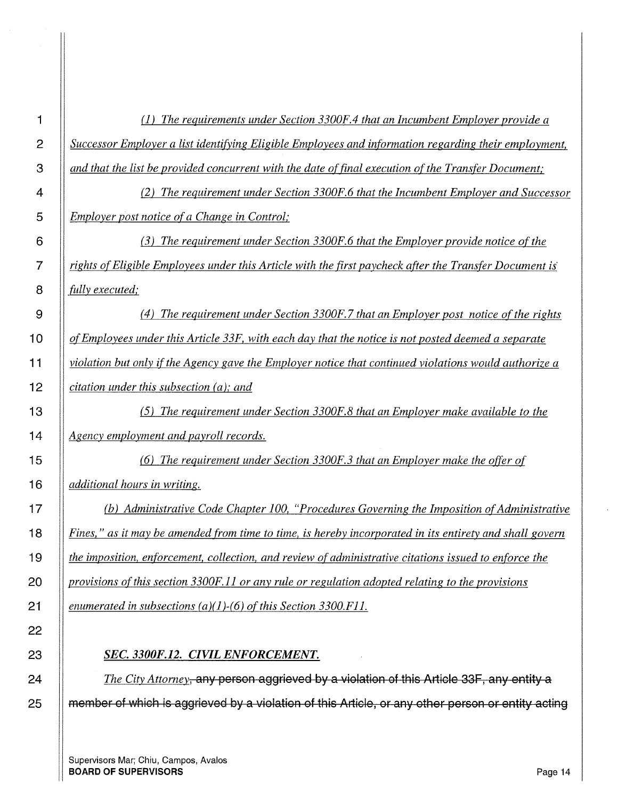(1) *The requirements under Section 3300F.4 that an Incumbent Employer provide a Successor Employer a list identifying Eligible Employees and information regarding their employment, and that the list be provided concurrent with the date of final execution of the Transfer Document;* 

*(2) The requirement under Section 3300F.6 that the Incumbent Employer and Successor Employer post notice ofa Change in Control;* 

*(3) The requirement under Section 3300F.6 that the Employer provide notice of the rights of Eligible Employees under this Article with the first paycheck after the Transfer Document is' fully executed;* 

*(4) The requirement under Section 3300F.7 that an Employer post notice of the rights of Employees under this Article 33F, with each day that the notice is not posted deemed a separate violation but only ifthe Agency gave the Employer notice that continued violations would authorize a citation under this subsection (a); and* 

*(5) The requirement under Section 3300F.8 that an Employer make available to the Agency employment and payroll records.* 

*(6) The requirement under Section 3300F.3 that an Employer make the offer of*  **1 6** *additional hours in writing.* 

*(b) Administrative Code Chapter 100, "Procedures Governing the Imposition of Administrative Fines," as it may be amended from time to time, is hereby incorporated in its entirety and shall govern the imposition, enforcement, collection, and review of administrative citations issued to enforce the provisions of this section 3300F. I 1 or any rule or regulation adopted relating to the provisions enumerated in subsections (a)(l )-(6) ofthis Section 3300.Fl 1.* 

## *SEC. 3300F.12. CIVIL ENFORCEMENT.*

*The City Attorney,* **any person aggrieved by a violation of this Article 33F, any entity a 25 member of •1.1hich is aggrieved by a violation of this Article, or any other person or entity acting**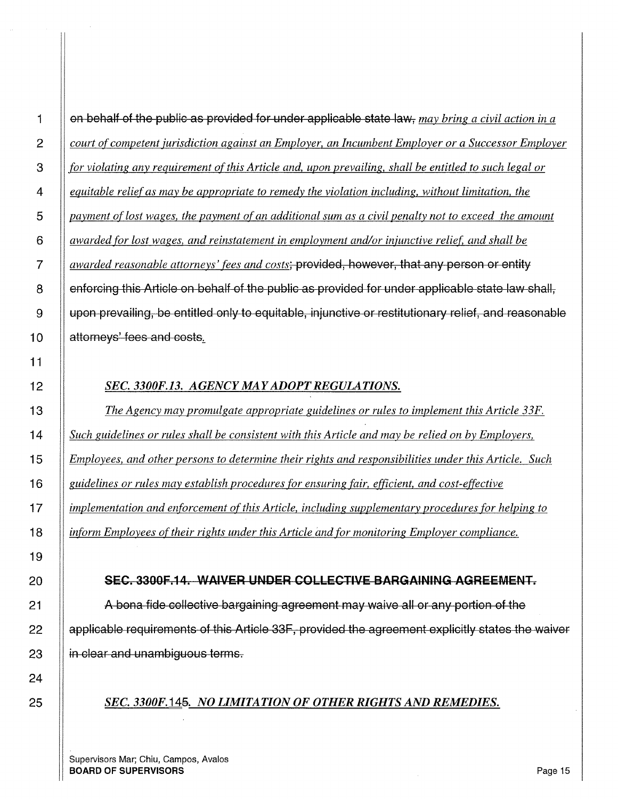1 on behalf of the publio as provided for under applicable state lavv, *may bring a civil action in a court of competent jurisdiction against an Employer, an Incumbent Employer or a Successor Employer for violating any requirement of this Article and, upon prevailing, shall be entitled to such legal or equitable relief as may be appropriate to remedy the violation including, without limitation, the payment oflost wages, the payment of an additional sum as a civil penalty not to exceed the amount a awarded for lost wages, and reinstatement in employment and/or injunctive relief, and shall be awarded reasonable attorneys' fees and costs;* provided, however, that any person or entity 8 | enforcing this Article on behalf of the public as provided for under applicable state law shall,  $\parallel$  upon prevailing, be entitled only to equitable, injunctive or restitutionary relief, and reasonable **attorneys' fees and costs.** 

## *SEC. 3300F.13. AGENCY MAY ADOPT REGULATIONS.*

*The Agency may promulgate appropriate guidelines or rules to implement this Article 33F. Such guidelines or rules shall be consistent with this Article and may be relied on by Employers, Employees, and other persons to determine their rights and responsibilities under this Article. Such guidelines or rules may establish procedures for ensuring fair, efficient, and cost-effective implementation and enforcement of this Article, including supplementary procedures for helping to inform Employees of their rights under this Article and for monitoring Employer compliance.* 

## 20 SEC. 3300F.14. WAIVER UNDER COLLECTIVE BARGAINING AGREEMENT.

**A** bona fide collective bargaining agreement may waive all or any portion of the || applicable requirements of this Article 33F, provided the agreement explicitly states the waiver || in clear and unambiguous terms.

## *SEC. 3300F.14&. NO LIMITATION OF OTHER RIGHTS AND REMEDIES.*

Supervisors Mar; Chiu, Campos, Avalos **BOARD OF SUPERVISORS** Page 15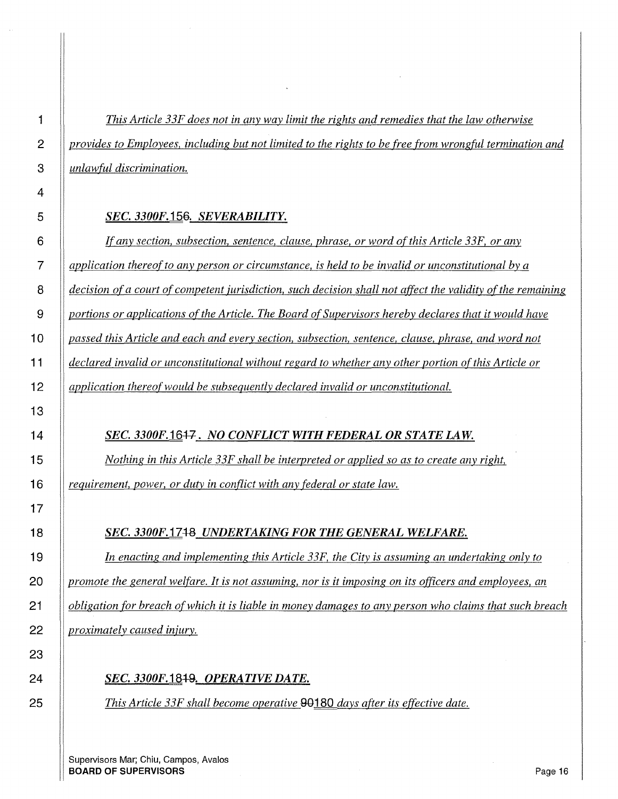*This Article 33F does not in any way limit the rights and remedies that the law otherwise provides to Employees, including but not limited to the rights to be free from wrongful termination and unlawful discrimination.* 

#### *SEC. 3300F.* **156.** *SEVERABILITY.*

*If any section, subsection, sentence, clause, phrase, or word of this Article 33F, or any application thereof to any person or circumstance, is held to be invalid or unconstitutional by a decision of a court of competent jurisdiction, such decision shall not affect the validity of the remaining portions or applications of the Article. The Board of Supervisors hereby declares that it would have passed this Article and each and every section, subsection, sentence, clause, phrase, and word not declared invalid or unconstitutional without regard to whether any other portion of this Article or application thereof would be subsequently declared invalid or unconstitutional.* 

## *SEC. 3300F.16+7. NO CONFLICT WITH FEDERAL OR STATE LAW.*

*Nothing in this Article 33F shall be interpreted or applied so as to create any right, requirement, power, or duty in conflict with any federal or state law.* 

## *SEC. 3300F.1748 UNDERTAKING FOR THE GENERAL WELFARE.*

*In enacting and implementing this Article 33F, the City is assuming an undertaking only to promote the general welfare. It is not assuming, nor is it imposing on its officers and employees, an obligation for breach of which it is liable in money damages to any person who claims that such breach proximately caused injury.* 

## *SEC. 3300F.* **18+9.** *OPERATIVE DATE.*

*This Article 33F shall become operative* **00180** *days after its effective date.*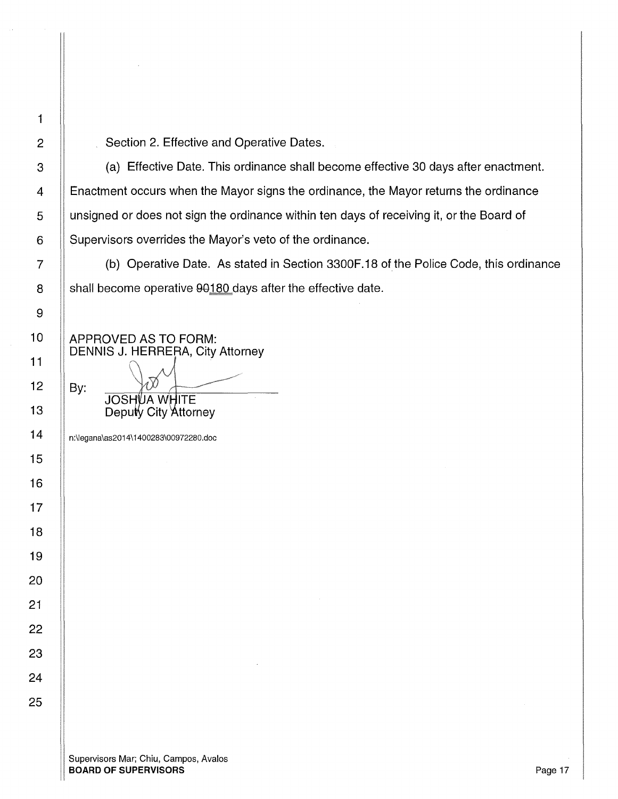By:

2 | Section 2. Effective and Operative Dates.

 $3$   $\parallel$  (a) Effective Date. This ordinance shall become effective 30 days after enactment. 4 | Enactment occurs when the Mayor signs the ordinance, the Mayor returns the ordinance 5 unsigned or does not sign the ordinance within ten days of receiving it, or the Board of 6 | Supervisors overrides the Mayor's veto of the ordinance.

7 (b) Operative Date. As stated in Section 3300F.18 of the Police Code, this ordinance 8  $\parallel$  shall become operative 90180 days after the effective date.

APPROVED AS TO FORM: DENNIS J. HERRERA, City Attorney

> **JOSHUA WHITE** Deputy City Attorney

14 n:\legana\as2014\ 1400283\00972280.doc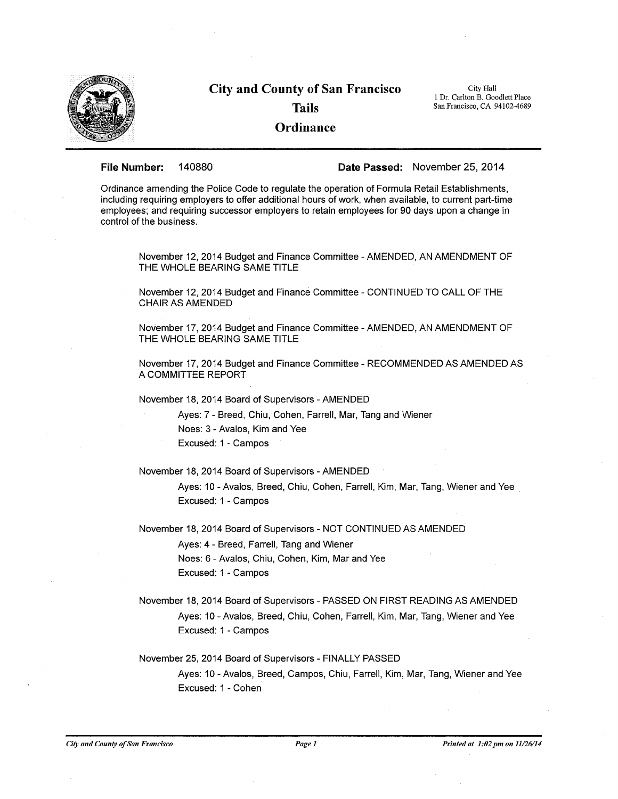

# **City and County of San Francisco Tails Ordinance**

City Hall 1 Dr. Carlton B. Goodlett Place San Francisco, CA 94102-4689

**File Number:** 140880 **Date Passed:** November 25, 2014

Ordinance amending the Police Code to regulate the operation of Formula Retail Establishments, including requiring employers to offer additional hours of work, when available, to current part-time employees; and requiring successor employers to retain employees for 90 days upon a change in control of the business.

November 12, 2014 Budget and Finance Committee -AMENDED, AN AMENDMENT OF THE WHOLE BEARING SAME TITLE

November 12, 2014 Budget and Finance Committee - CONTINUED TO CALL OF THE CHAIR AS AMENDED

November 17, 2014 Budget and Finance Committee - AMENDED, AN AMENDMENT OF THE WHOLE BEARING SAME TITLE

November 17, 2014 Budget and Finance Committee - RECOMMENDED AS AMENDED AS A COMMITTEE REPORT

November 18, 2014 Board of Supervisors -AMENDED

Ayes: 7 - Breed, Chiu, Cohen, Farrell, Mar, Tang and Wiener Noes: 3 - Avalos, Kim and Yee Excused: 1 - Campos

November 18, 2014 Board of Supervisors -AMENDED

Ayes: 10 -Avalos, Breed, Chiu, Cohen, Farrell, Kim, Mar, Tang, Wiener and Yee Excused: 1 - Campos

November 18, 2014 Board of Supervisors - NOT CONTINUED AS AMENDED

Ayes: 4 - Breed, Farrell, Tang and Wiener Noes: 6 - Avalos, Chiu, Cohen, Kim, Mar and Yee Excused: 1 - Campos

November 18, 2014 Board of Supervisors- PASSED ON FIRST READING AS AMENDED Ayes: 10 -Avalos, Breed, Chiu, Cohen, Farrell, Kim, Mar, Tang, Wiener and Yee Excused: 1 - Campos

November 25, 2014 Board of Supervisors - FINALLY PASSED Ayes: 10 -Avalos, Breed, Campos, Chiu, Farrell, Kim, Mar, Tang, Wiener and Yee Excused: 1 - Cohen